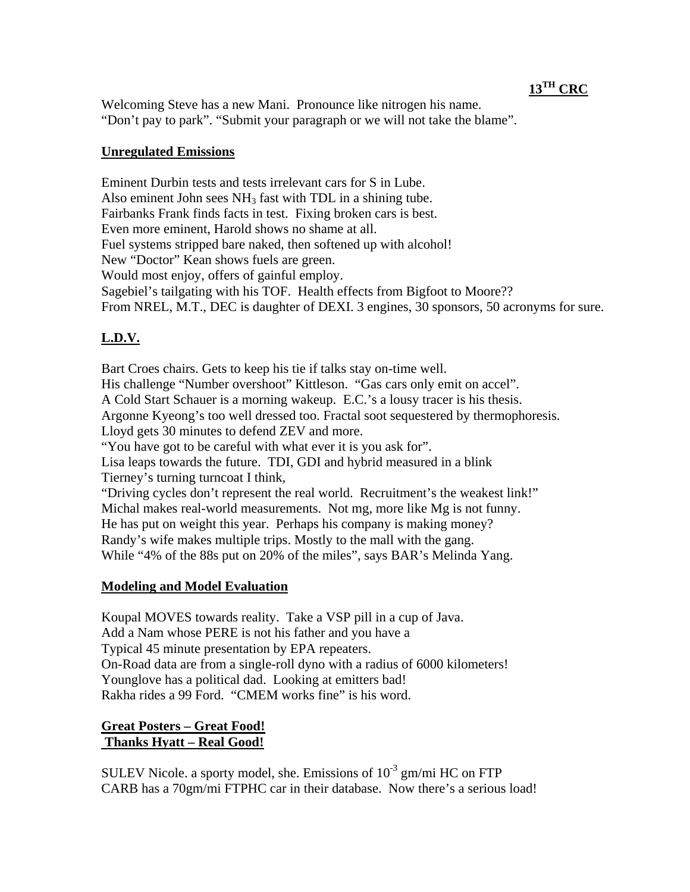# **13TH CRC**

Welcoming Steve has a new Mani. Pronounce like nitrogen his name. "Don't pay to park". "Submit your paragraph or we will not take the blame".

## **Unregulated Emissions**

Eminent Durbin tests and tests irrelevant cars for S in Lube. Also eminent John sees  $NH<sub>3</sub>$  fast with TDL in a shining tube. Fairbanks Frank finds facts in test. Fixing broken cars is best. Even more eminent, Harold shows no shame at all. Fuel systems stripped bare naked, then softened up with alcohol! New "Doctor" Kean shows fuels are green. Would most enjoy, offers of gainful employ. Sagebiel's tailgating with his TOF. Health effects from Bigfoot to Moore?? From NREL, M.T., DEC is daughter of DEXI. 3 engines, 30 sponsors, 50 acronyms for sure.

# **L.D.V.**

Bart Croes chairs. Gets to keep his tie if talks stay on-time well. His challenge "Number overshoot" Kittleson. "Gas cars only emit on accel". A Cold Start Schauer is a morning wakeup. E.C.'s a lousy tracer is his thesis. Argonne Kyeong's too well dressed too. Fractal soot sequestered by thermophoresis. Lloyd gets 30 minutes to defend ZEV and more. "You have got to be careful with what ever it is you ask for". Lisa leaps towards the future. TDI, GDI and hybrid measured in a blink Tierney's turning turncoat I think, "Driving cycles don't represent the real world. Recruitment's the weakest link!" Michal makes real-world measurements. Not mg, more like Mg is not funny. He has put on weight this year. Perhaps his company is making money? Randy's wife makes multiple trips. Mostly to the mall with the gang. While "4% of the 88s put on 20% of the miles", says BAR's Melinda Yang.

## **Modeling and Model Evaluation**

Koupal MOVES towards reality. Take a VSP pill in a cup of Java. Add a Nam whose PERE is not his father and you have a Typical 45 minute presentation by EPA repeaters. On-Road data are from a single-roll dyno with a radius of 6000 kilometers! Younglove has a political dad. Looking at emitters bad! Rakha rides a 99 Ford. "CMEM works fine" is his word.

# **Great Posters – Great Food! Thanks Hyatt – Real Good!**

SULEV Nicole. a sporty model, she. Emissions of  $10^{-3}$  gm/mi HC on FTP CARB has a 70gm/mi FTPHC car in their database. Now there's a serious load!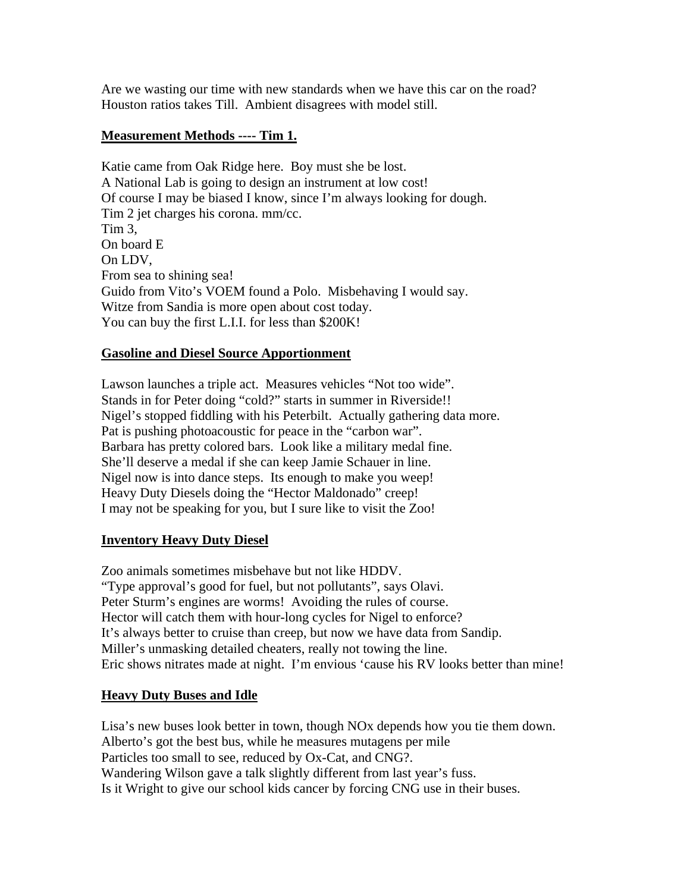Are we wasting our time with new standards when we have this car on the road? Houston ratios takes Till. Ambient disagrees with model still.

## **Measurement Methods ---- Tim 1.**

Katie came from Oak Ridge here. Boy must she be lost. A National Lab is going to design an instrument at low cost! Of course I may be biased I know, since I'm always looking for dough. Tim 2 jet charges his corona. mm/cc. Tim 3, On board E On LDV, From sea to shining sea! Guido from Vito's VOEM found a Polo. Misbehaving I would say. Witze from Sandia is more open about cost today. You can buy the first L.I.I. for less than \$200K!

#### **Gasoline and Diesel Source Apportionment**

Lawson launches a triple act. Measures vehicles "Not too wide". Stands in for Peter doing "cold?" starts in summer in Riverside!! Nigel's stopped fiddling with his Peterbilt. Actually gathering data more. Pat is pushing photoacoustic for peace in the "carbon war". Barbara has pretty colored bars. Look like a military medal fine. She'll deserve a medal if she can keep Jamie Schauer in line. Nigel now is into dance steps. Its enough to make you weep! Heavy Duty Diesels doing the "Hector Maldonado" creep! I may not be speaking for you, but I sure like to visit the Zoo!

#### **Inventory Heavy Duty Diesel**

Zoo animals sometimes misbehave but not like HDDV. "Type approval's good for fuel, but not pollutants", says Olavi. Peter Sturm's engines are worms! Avoiding the rules of course. Hector will catch them with hour-long cycles for Nigel to enforce? It's always better to cruise than creep, but now we have data from Sandip. Miller's unmasking detailed cheaters, really not towing the line. Eric shows nitrates made at night. I'm envious 'cause his RV looks better than mine!

#### **Heavy Duty Buses and Idle**

Lisa's new buses look better in town, though NOx depends how you tie them down. Alberto's got the best bus, while he measures mutagens per mile Particles too small to see, reduced by Ox-Cat, and CNG?. Wandering Wilson gave a talk slightly different from last year's fuss. Is it Wright to give our school kids cancer by forcing CNG use in their buses.